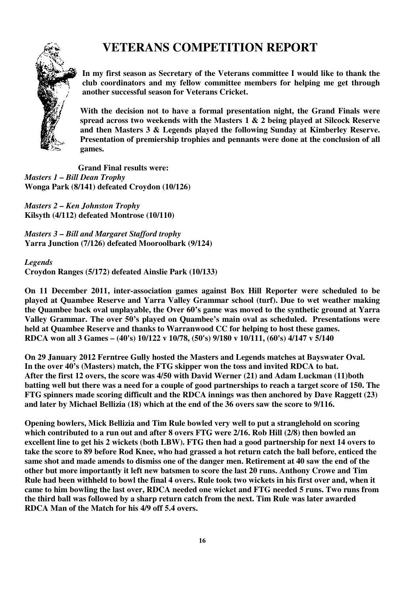## **VETERANS COMPETITION REPORT**



**In my first season as Secretary of the Veterans committee I would like to thank the club coordinators and my fellow committee members for helping me get through another successful season for Veterans Cricket.** 

**With the decision not to have a formal presentation night, the Grand Finals were spread across two weekends with the Masters 1 & 2 being played at Silcock Reserve and then Masters 3 & Legends played the following Sunday at Kimberley Reserve. Presentation of premiership trophies and pennants were done at the conclusion of all games.** 

 **Grand Final results were:**  *Masters 1 – Bill Dean Trophy*  **Wonga Park (8/141) defeated Croydon (10/126)** 

*Masters 2 – Ken Johnston Trophy*  **Kilsyth (4/112) defeated Montrose (10/110)** 

*Masters 3 – Bill and Margaret Stafford trophy*  **Yarra Junction (7/126) defeated Mooroolbark (9/124)** 

*Legends*  **Croydon Ranges (5/172) defeated Ainslie Park (10/133)** 

**On 11 December 2011, inter-association games against Box Hill Reporter were scheduled to be played at Quambee Reserve and Yarra Valley Grammar school (turf). Due to wet weather making the Quambee back oval unplayable, the Over 60's game was moved to the synthetic ground at Yarra Valley Grammar. The over 50's played on Quambee's main oval as scheduled. Presentations were held at Quambee Reserve and thanks to Warranwood CC for helping to host these games. RDCA won all 3 Games – (40's) 10/122 v 10/78, (50's) 9/180 v 10/111, (60's) 4/147 v 5/140** 

**On 29 January 2012 Ferntree Gully hosted the Masters and Legends matches at Bayswater Oval. In the over 40's (Masters) match, the FTG skipper won the toss and invited RDCA to bat. After the first 12 overs, the score was 4/50 with David Werner (21) and Adam Luckman (11)both batting well but there was a need for a couple of good partnerships to reach a target score of 150. The FTG spinners made scoring difficult and the RDCA innings was then anchored by Dave Raggett (23) and later by Michael Bellizia (18) which at the end of the 36 overs saw the score to 9/116.** 

**Opening bowlers, Mick Bellizia and Tim Rule bowled very well to put a stranglehold on scoring which contributed to a run out and after 8 overs FTG were 2/16. Rob Hill (2/8) then bowled an excellent line to get his 2 wickets (both LBW). FTG then had a good partnership for next 14 overs to take the score to 89 before Rod Knee, who had grassed a hot return catch the ball before, enticed the same shot and made amends to dismiss one of the danger men. Retirement at 40 saw the end of the other but more importantly it left new batsmen to score the last 20 runs. Anthony Crowe and Tim Rule had been withheld to bowl the final 4 overs. Rule took two wickets in his first over and, when it came to him bowling the last over, RDCA needed one wicket and FTG needed 5 runs. Two runs from the third ball was followed by a sharp return catch from the next. Tim Rule was later awarded RDCA Man of the Match for his 4/9 off 5.4 overs.**